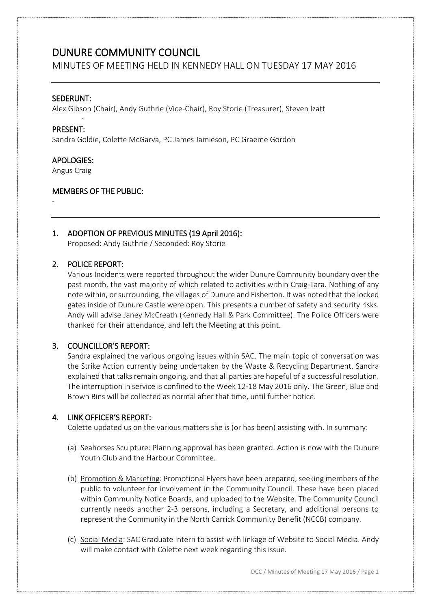MINUTES OF MEETING HELD IN KENNEDY HALL ON TUESDAY 17 MAY 2016

### SEDERUNT:

Alex Gibson (Chair), Andy Guthrie (Vice-Chair), Roy Storie (Treasurer), Steven Izatt

#### PRESENT:

Sandra Goldie, Colette McGarva, PC James Jamieson, PC Graeme Gordon

### APOLOGIES:

Angus Craig

### MEMBERS OF THE PUBLIC:

-

### 1. ADOPTION OF PREVIOUS MINUTES (19 April 2016):

Proposed: Andy Guthrie / Seconded: Roy Storie

### 2. POLICE REPORT:

Various Incidents were reported throughout the wider Dunure Community boundary over the past month, the vast majority of which related to activities within Craig-Tara. Nothing of any note within, or surrounding, the villages of Dunure and Fisherton. It was noted that the locked gates inside of Dunure Castle were open. This presents a number of safety and security risks. Andy will advise Janey McCreath (Kennedy Hall & Park Committee). The Police Officers were thanked for their attendance, and left the Meeting at this point.

### 3. COUNCILLOR'S REPORT:

Sandra explained the various ongoing issues within SAC. The main topic of conversation was the Strike Action currently being undertaken by the Waste & Recycling Department. Sandra explained that talks remain ongoing, and that all parties are hopeful of a successful resolution. The interruption in service is confined to the Week 12-18 May 2016 only. The Green, Blue and Brown Bins will be collected as normal after that time, until further notice.

### 4. LINK OFFICER'S REPORT:

Colette updated us on the various matters she is (or has been) assisting with. In summary:

- (a) Seahorses Sculpture: Planning approval has been granted. Action is now with the Dunure Youth Club and the Harbour Committee.
- (b) Promotion & Marketing: Promotional Flyers have been prepared, seeking members of the public to volunteer for involvement in the Community Council. These have been placed within Community Notice Boards, and uploaded to the Website. The Community Council currently needs another 2-3 persons, including a Secretary, and additional persons to represent the Community in the North Carrick Community Benefit (NCCB) company.
- (c) Social Media: SAC Graduate Intern to assist with linkage of Website to Social Media. Andy will make contact with Colette next week regarding this issue.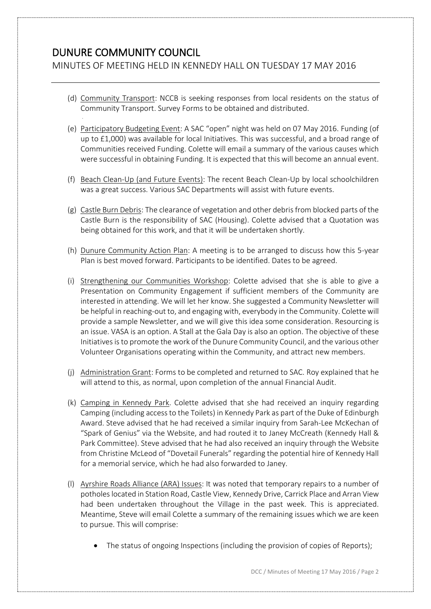MINUTES OF MEETING HELD IN KENNEDY HALL ON TUESDAY 17 MAY 2016

- (d) Community Transport: NCCB is seeking responses from local residents on the status of Community Transport. Survey Forms to be obtained and distributed.
- (e) Participatory Budgeting Event: A SAC "open" night was held on 07 May 2016. Funding (of up to £1,000) was available for local Initiatives. This was successful, and a broad range of Communities received Funding. Colette will email a summary of the various causes which were successful in obtaining Funding. It is expected that this will become an annual event.
- (f) Beach Clean-Up (and Future Events): The recent Beach Clean-Up by local schoolchildren was a great success. Various SAC Departments will assist with future events.
- (g) Castle Burn Debris: The clearance of vegetation and other debris from blocked parts of the Castle Burn is the responsibility of SAC (Housing). Colette advised that a Quotation was being obtained for this work, and that it will be undertaken shortly.
- (h) Dunure Community Action Plan: A meeting is to be arranged to discuss how this 5-year Plan is best moved forward. Participants to be identified. Dates to be agreed.
- (i) Strengthening our Communities Workshop: Colette advised that she is able to give a Presentation on Community Engagement if sufficient members of the Community are interested in attending. We will let her know. She suggested a Community Newsletter will be helpful in reaching-out to, and engaging with, everybody in the Community. Colette will provide a sample Newsletter, and we will give this idea some consideration. Resourcing is an issue. VASA is an option. A Stall at the Gala Day is also an option. The objective of these Initiativesis to promote the work of the Dunure Community Council, and the various other Volunteer Organisations operating within the Community, and attract new members.
- (j) Administration Grant: Forms to be completed and returned to SAC. Roy explained that he will attend to this, as normal, upon completion of the annual Financial Audit.
- (k) Camping in Kennedy Park. Colette advised that she had received an inquiry regarding Camping (including access to the Toilets) in Kennedy Park as part of the Duke of Edinburgh Award. Steve advised that he had received a similar inquiry from Sarah-Lee McKechan of "Spark of Genius" via the Website, and had routed it to Janey McCreath (Kennedy Hall & Park Committee). Steve advised that he had also received an inquiry through the Website from Christine McLeod of "Dovetail Funerals" regarding the potential hire of Kennedy Hall for a memorial service, which he had also forwarded to Janey.
- (l) Ayrshire Roads Alliance (ARA) Issues: It was noted that temporary repairs to a number of potholes located in Station Road, Castle View, Kennedy Drive, Carrick Place and Arran View had been undertaken throughout the Village in the past week. This is appreciated. Meantime, Steve will email Colette a summary of the remaining issues which we are keen to pursue. This will comprise:
	- The status of ongoing Inspections (including the provision of copies of Reports);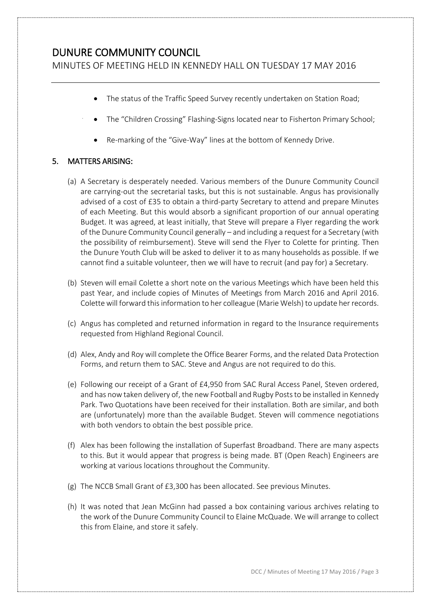MINUTES OF MEETING HELD IN KENNEDY HALL ON TUESDAY 17 MAY 2016

- The status of the Traffic Speed Survey recently undertaken on Station Road;
- The "Children Crossing" Flashing-Signs located near to Fisherton Primary School;
- Re-marking of the "Give-Way" lines at the bottom of Kennedy Drive.

## 5. MATTERS ARISING:

- (a) A Secretary is desperately needed. Various members of the Dunure Community Council are carrying-out the secretarial tasks, but this is not sustainable. Angus has provisionally advised of a cost of £35 to obtain a third-party Secretary to attend and prepare Minutes of each Meeting. But this would absorb a significant proportion of our annual operating Budget. It was agreed, at least initially, that Steve will prepare a Flyer regarding the work of the Dunure Community Council generally – and including a request for a Secretary (with the possibility of reimbursement). Steve will send the Flyer to Colette for printing. Then the Dunure Youth Club will be asked to deliver it to as many households as possible. If we cannot find a suitable volunteer, then we will have to recruit (and pay for) a Secretary.
- (b) Steven will email Colette a short note on the various Meetings which have been held this past Year, and include copies of Minutes of Meetings from March 2016 and April 2016. Colette will forward thisinformation to her colleague (Marie Welsh) to update her records.
- (c) Angus has completed and returned information in regard to the Insurance requirements requested from Highland Regional Council.
- (d) Alex, Andy and Roy will complete the Office Bearer Forms, and the related Data Protection Forms, and return them to SAC. Steve and Angus are not required to do this.
- (e) Following our receipt of a Grant of £4,950 from SAC Rural Access Panel, Steven ordered, and has now taken delivery of, the new Football and Rugby Posts to be installed in Kennedy Park. Two Quotations have been received for their installation. Both are similar, and both are (unfortunately) more than the available Budget. Steven will commence negotiations with both vendors to obtain the best possible price.
- (f) Alex has been following the installation of Superfast Broadband. There are many aspects to this. But it would appear that progress is being made. BT (Open Reach) Engineers are working at various locations throughout the Community.
- (g) The NCCB Small Grant of £3,300 has been allocated. See previous Minutes.
- (h) It was noted that Jean McGinn had passed a box containing various archives relating to the work of the Dunure Community Council to Elaine McQuade. We will arrange to collect this from Elaine, and store it safely.